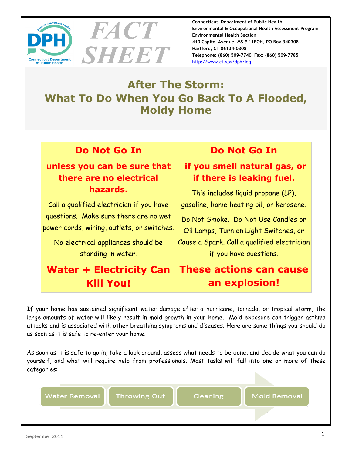



**Environmental & Occupational Health Assessment Program [Environmental Health Section](http://www.ct.gov/dph/taxonomy/ct_taxonomy.asp?DLN=46944) 410 Capitol Avenue, MS # 11EOH, PO Box 340308 Hartford, CT 06134-0308 Telephone: (860) 509-7740 Fax: (860) 509-7785** <http://www.ct.gov/dph/ieq>

## **After The Storm: What To Do When You Go Back To A Flooded, Moldy Home**

#### **Do Not Go In**

#### **unless you can be sure that there are no electrical hazards.**

Call a qualified electrician if you have questions. Make sure there are no wet power cords, wiring, outlets, or switches.

No electrical appliances should be standing in water.

## **Water + Electricity Can Kill You!**

#### **Do Not Go In**

#### **if you smell natural gas, or if there is leaking fuel.**

This includes liquid propane (LP), gasoline, home heating oil, or kerosene.

Do Not Smoke. Do Not Use Candles or Oil Lamps, Turn on Light Switches, or Cause a Spark. Call a qualified electrician if you have questions.

## **These actions can cause an explosion!**

If your home has sustained significant water damage after a hurricane, tornado, or tropical storm, the large amounts of water will likely result in mold growth in your home. Mold exposure can trigger asthma attacks and is associated with other breathing symptoms and diseases. Here are some things you should do as soon as it is safe to re-enter your home.

As soon as it is safe to go in, take a look around, assess what needs to be done, and decide what you can do yourself, and what will require help from professionals. Most tasks will fall into one or more of these categories:

**Water Removal** 

**Throwing Out** 

Cleaning

Mold Removal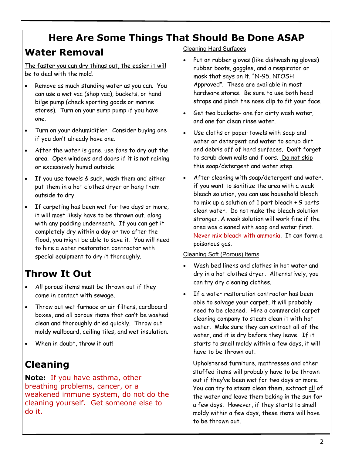## **Here Are Some Things That Should Be Done ASAP**

## **Water Removal**

The faster you can dry things out, the easier it will be to deal with the mold.

- Remove as much standing water as you can. You can use a wet vac (shop vac), buckets, or hand bilge pump (check sporting goods or marine stores). Turn on your sump pump if you have one.
- Turn on your dehumidifier. Consider buying one if you don't already have one.
- After the water is gone, use fans to dry out the area. Open windows and doors if it is not raining or excessively humid outside.
- If you use towels & such, wash them and either put them in a hot clothes dryer or hang them outside to dry.
- If carpeting has been wet for two days or more, it will most likely have to be thrown out, along with any padding underneath. If you can get it completely dry within a day or two after the flood, you might be able to save it. You will need to hire a water restoration contractor with special equipment to dry it thoroughly.

# **Throw It Out**

- All porous items must be thrown out if they come in contact with sewage.
- Throw out wet furnace or air filters, cardboard boxes, and all porous items that can't be washed clean and thoroughly dried quickly. Throw out moldy wallboard, ceiling tiles, and wet insulation.
- When in doubt, throw it out!

## **Cleaning**

**Note:** If you have asthma, other breathing problems, cancer, or a weakened immune system, do not do the cleaning yourself. Get someone else to do it.

#### Cleaning Hard Surfaces

- Put on rubber gloves (like dishwashing gloves) rubber boots, goggles, and a respirator or mask that says on it, "N-95, NIOSH Approved". These are available in most hardware stores. Be sure to use both head straps and pinch the nose clip to fit your face.
- Get two buckets- one for dirty wash water, and one for clean rinse water.
- Use cloths or paper towels with soap and water or detergent and water to scrub dirt and debris off of hard surfaces. Don't forget to scrub down walls and floors. Do not skip this soap/detergent and water step.
- After cleaning with soap/detergent and water, if you want to sanitize the area with a weak bleach solution, you can use household bleach to mix up a solution of 1 part bleach + 9 parts clean water. Do not make the bleach solution stronger. A weak solution will work fine if the area was cleaned with soap and water first. Never mix bleach with ammonia. It can form a poisonous gas.

#### Cleaning Soft (Porous) Items

- Wash bed linens and clothes in hot water and dry in a hot clothes dryer. Alternatively, you can try dry cleaning clothes.
- If a water restoration contractor has been able to salvage your carpet, it will probably need to be cleaned. Hire a commercial carpet cleaning company to steam clean it with hot water. Make sure they can extract all of the water, and it is dry before they leave. If it starts to smell moldy within a few days, it will have to be thrown out.

Upholstered furniture, mattresses and other stuffed items will probably have to be thrown out if they've been wet for two days or more. You can try to steam clean them, extract all of the water and leave them baking in the sun for a few days. However, if they starts to smell moldy within a few days, these items will have to be thrown out.